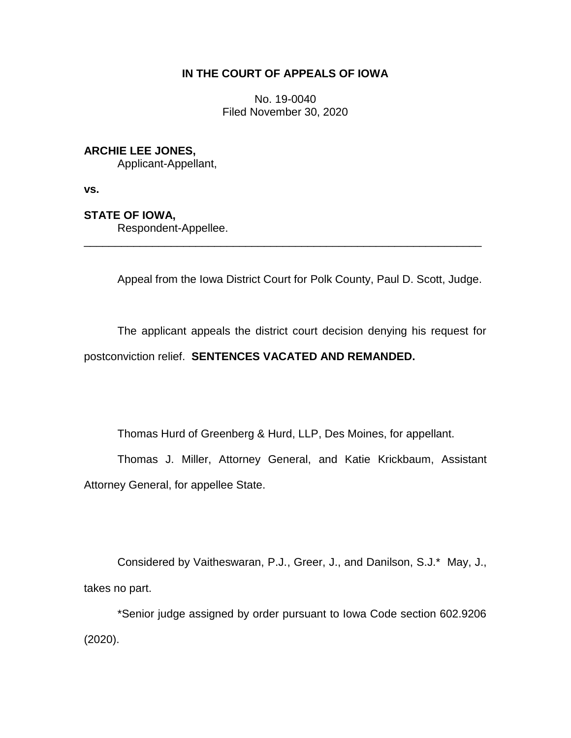# **IN THE COURT OF APPEALS OF IOWA**

No. 19-0040 Filed November 30, 2020

## **ARCHIE LEE JONES,**

Applicant-Appellant,

**vs.**

## **STATE OF IOWA,**

Respondent-Appellee.

Appeal from the Iowa District Court for Polk County, Paul D. Scott, Judge.

The applicant appeals the district court decision denying his request for postconviction relief. **SENTENCES VACATED AND REMANDED.**

\_\_\_\_\_\_\_\_\_\_\_\_\_\_\_\_\_\_\_\_\_\_\_\_\_\_\_\_\_\_\_\_\_\_\_\_\_\_\_\_\_\_\_\_\_\_\_\_\_\_\_\_\_\_\_\_\_\_\_\_\_\_\_\_

Thomas Hurd of Greenberg & Hurd, LLP, Des Moines, for appellant.

Thomas J. Miller, Attorney General, and Katie Krickbaum, Assistant Attorney General, for appellee State.

Considered by Vaitheswaran, P.J., Greer, J., and Danilson, S.J.\* May, J., takes no part.

\*Senior judge assigned by order pursuant to Iowa Code section 602.9206 (2020).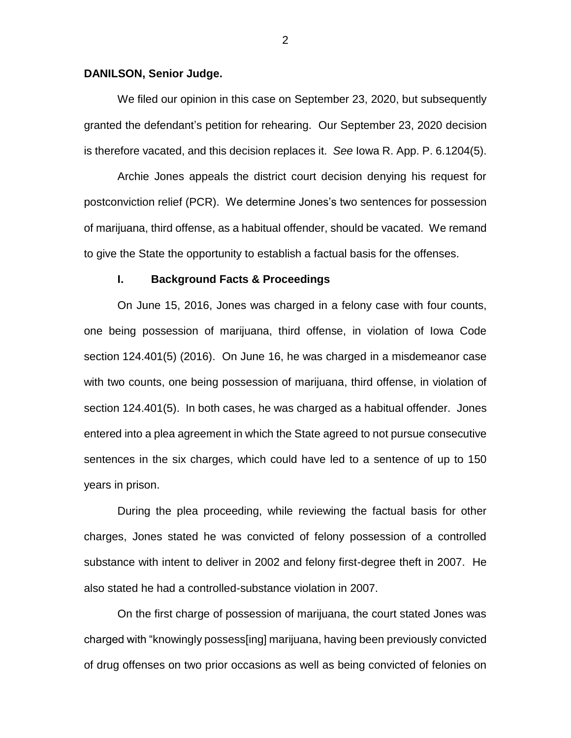### **DANILSON, Senior Judge.**

We filed our opinion in this case on September 23, 2020, but subsequently granted the defendant's petition for rehearing. Our September 23, 2020 decision is therefore vacated, and this decision replaces it. *See* Iowa R. App. P. 6.1204(5).

Archie Jones appeals the district court decision denying his request for postconviction relief (PCR). We determine Jones's two sentences for possession of marijuana, third offense, as a habitual offender, should be vacated. We remand to give the State the opportunity to establish a factual basis for the offenses.

#### **I. Background Facts & Proceedings**

On June 15, 2016, Jones was charged in a felony case with four counts, one being possession of marijuana, third offense, in violation of Iowa Code section 124.401(5) (2016). On June 16, he was charged in a misdemeanor case with two counts, one being possession of marijuana, third offense, in violation of section 124.401(5). In both cases, he was charged as a habitual offender. Jones entered into a plea agreement in which the State agreed to not pursue consecutive sentences in the six charges, which could have led to a sentence of up to 150 years in prison.

During the plea proceeding, while reviewing the factual basis for other charges, Jones stated he was convicted of felony possession of a controlled substance with intent to deliver in 2002 and felony first-degree theft in 2007. He also stated he had a controlled-substance violation in 2007.

On the first charge of possession of marijuana, the court stated Jones was charged with "knowingly possess[ing] marijuana, having been previously convicted of drug offenses on two prior occasions as well as being convicted of felonies on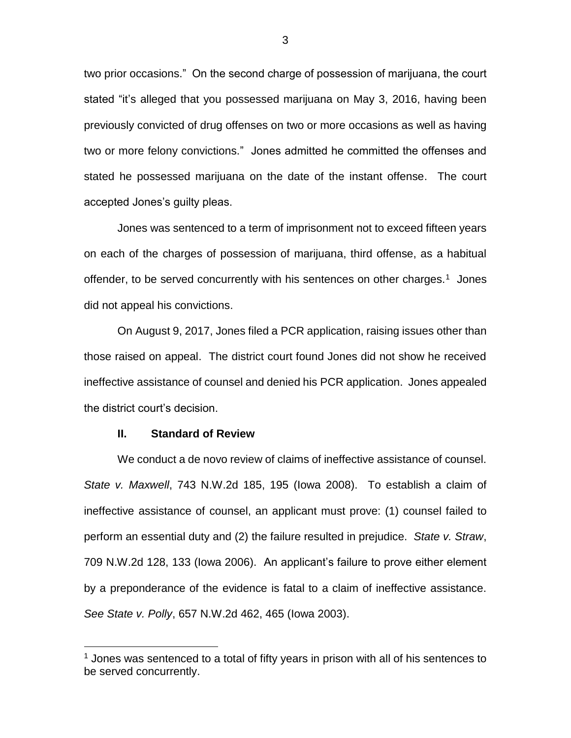two prior occasions." On the second charge of possession of marijuana, the court stated "it's alleged that you possessed marijuana on May 3, 2016, having been previously convicted of drug offenses on two or more occasions as well as having two or more felony convictions." Jones admitted he committed the offenses and stated he possessed marijuana on the date of the instant offense. The court accepted Jones's guilty pleas.

Jones was sentenced to a term of imprisonment not to exceed fifteen years on each of the charges of possession of marijuana, third offense, as a habitual offender, to be served concurrently with his sentences on other charges.<sup>1</sup> Jones did not appeal his convictions.

On August 9, 2017, Jones filed a PCR application, raising issues other than those raised on appeal. The district court found Jones did not show he received ineffective assistance of counsel and denied his PCR application. Jones appealed the district court's decision.

#### **II. Standard of Review**

 $\overline{a}$ 

We conduct a de novo review of claims of ineffective assistance of counsel. *State v. Maxwell*, 743 N.W.2d 185, 195 (Iowa 2008). To establish a claim of ineffective assistance of counsel, an applicant must prove: (1) counsel failed to perform an essential duty and (2) the failure resulted in prejudice. *State v. Straw*, 709 N.W.2d 128, 133 (Iowa 2006). An applicant's failure to prove either element by a preponderance of the evidence is fatal to a claim of ineffective assistance. *See State v. Polly*, 657 N.W.2d 462, 465 (Iowa 2003).

 $<sup>1</sup>$  Jones was sentenced to a total of fifty years in prison with all of his sentences to</sup> be served concurrently.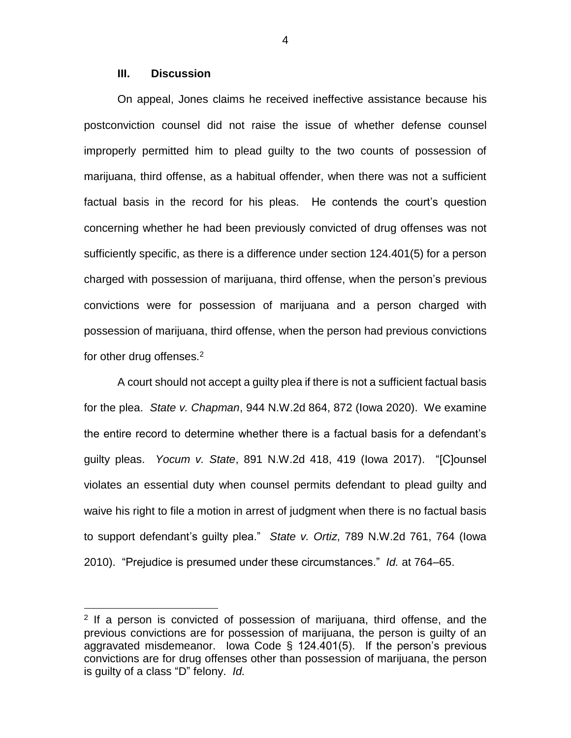### **III. Discussion**

 $\overline{a}$ 

On appeal, Jones claims he received ineffective assistance because his postconviction counsel did not raise the issue of whether defense counsel improperly permitted him to plead guilty to the two counts of possession of marijuana, third offense, as a habitual offender, when there was not a sufficient factual basis in the record for his pleas. He contends the court's question concerning whether he had been previously convicted of drug offenses was not sufficiently specific, as there is a difference under section 124.401(5) for a person charged with possession of marijuana, third offense, when the person's previous convictions were for possession of marijuana and a person charged with possession of marijuana, third offense, when the person had previous convictions for other drug offenses.<sup>2</sup>

A court should not accept a guilty plea if there is not a sufficient factual basis for the plea. *State v. Chapman*, 944 N.W.2d 864, 872 (Iowa 2020). We examine the entire record to determine whether there is a factual basis for a defendant's guilty pleas. *Yocum v. State*, 891 N.W.2d 418, 419 (Iowa 2017). "[C]ounsel violates an essential duty when counsel permits defendant to plead guilty and waive his right to file a motion in arrest of judgment when there is no factual basis to support defendant's guilty plea." *State v. Ortiz*, 789 N.W.2d 761, 764 (Iowa 2010). "Prejudice is presumed under these circumstances." *Id.* at 764–65.

4

<sup>&</sup>lt;sup>2</sup> If a person is convicted of possession of marijuana, third offense, and the previous convictions are for possession of marijuana, the person is guilty of an aggravated misdemeanor. Iowa Code § 124.401(5). If the person's previous convictions are for drug offenses other than possession of marijuana, the person is guilty of a class "D" felony. *Id.*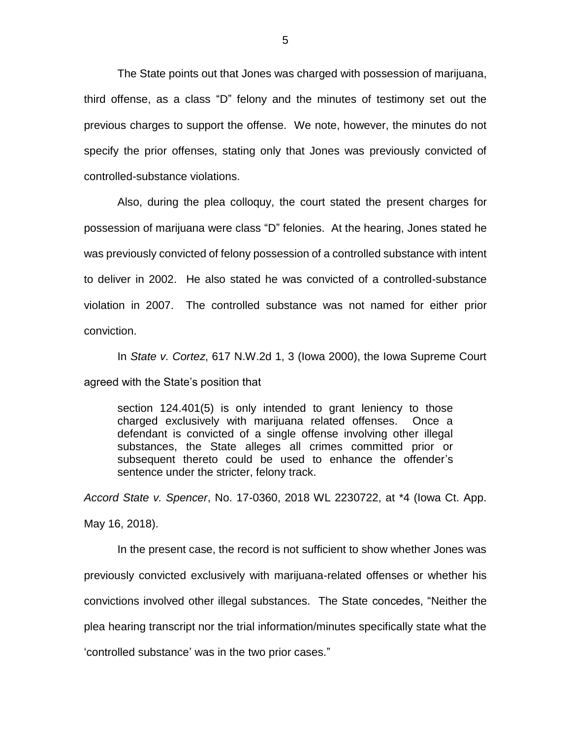The State points out that Jones was charged with possession of marijuana, third offense, as a class "D" felony and the minutes of testimony set out the previous charges to support the offense. We note, however, the minutes do not specify the prior offenses, stating only that Jones was previously convicted of controlled-substance violations.

Also, during the plea colloquy, the court stated the present charges for possession of marijuana were class "D" felonies. At the hearing, Jones stated he was previously convicted of felony possession of a controlled substance with intent to deliver in 2002. He also stated he was convicted of a controlled-substance violation in 2007. The controlled substance was not named for either prior conviction.

In *State v. Cortez*, 617 N.W.2d 1, 3 (Iowa 2000), the Iowa Supreme Court agreed with the State's position that

section 124.401(5) is only intended to grant leniency to those charged exclusively with marijuana related offenses. Once a defendant is convicted of a single offense involving other illegal substances, the State alleges all crimes committed prior or subsequent thereto could be used to enhance the offender's sentence under the stricter, felony track.

*Accord State v. Spencer*, No. 17-0360, 2018 WL 2230722, at \*4 (Iowa Ct. App. May 16, 2018).

In the present case, the record is not sufficient to show whether Jones was previously convicted exclusively with marijuana-related offenses or whether his convictions involved other illegal substances. The State concedes, "Neither the plea hearing transcript nor the trial information/minutes specifically state what the 'controlled substance' was in the two prior cases."